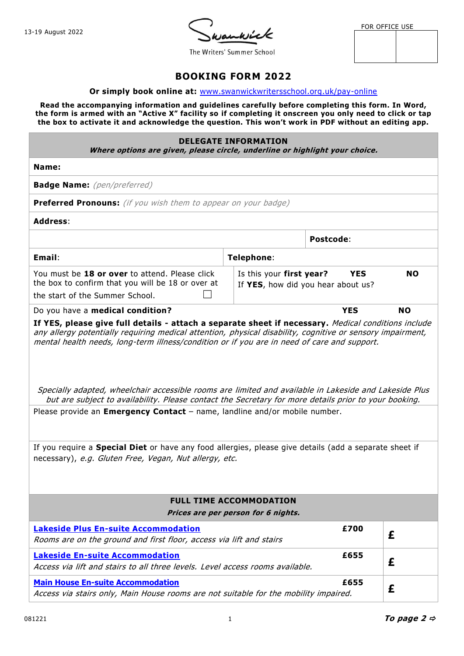FOR OFFICE USE

The Writers' Summer School

## **BOOKING FORM 2022**

## **Or simply book online at:** [www.swanwickwritersschool.org.uk/pay-online](file:///G:/SWANWICK%20TREASURER%20FILES%20from%202016/2020/BOOKING/BOOKING%20FORM%20&%20INFO/www.swanwickwritersschool.org.uk/pay-online)

**Read the accompanying information and guidelines carefully before completing this form. In Word, the form is armed with an "Active X" facility so if completing it onscreen you only need to click or tap the box to activate it and acknowledge the question. This won't work in PDF without an editing app.**

## **DELEGATE INFORMATION**

**Where options are given, please circle, underline or highlight your choice.**

| <b>Name</b> |
|-------------|
|-------------|

**Badge Name:** (pen/preferred)

**Preferred Pronouns:** (if you wish them to appear on your badge)

**Address**:

|                                                                                                                                        |            | <b>Postcode:</b>                                                            |  |  |  |  |  |  |
|----------------------------------------------------------------------------------------------------------------------------------------|------------|-----------------------------------------------------------------------------|--|--|--|--|--|--|
| Email:                                                                                                                                 | Telephone: |                                                                             |  |  |  |  |  |  |
| You must be 18 or over to attend. Please click<br>the box to confirm that you will be 18 or over at<br>the start of the Summer School. |            | Is this your first year?<br>YES<br>NO<br>If YES, how did you hear about us? |  |  |  |  |  |  |

Do you have a **medical condition? YES NO**

**If YES, please give full details - attach a separate sheet if necessary.** Medical conditions include any allergy potentially requiring medical attention, physical disability, cognitive or sensory impairment, mental health needs, long-term illness/condition or if you are in need of care and support.

Specially adapted, wheelchair accessible rooms are limited and available in Lakeside and Lakeside Plus but are subject to availability. Please contact the Secretary for more details prior to your booking.

Please provide an **Emergency Contact** – name, landline and/or mobile number.

If you require a **Special Diet** or have any food allergies, please give details (add a separate sheet if necessary), e.g. Gluten Free, Vegan, Nut allergy, etc.

## **FULL TIME ACCOMMODATION**

**Prices are per person for 6 nights.**

| <b>Lakeside Plus En-suite Accommodation</b><br>Rooms are on the ground and first floor, access via lift and stairs                       | £700 |  |  |  |  |  |
|------------------------------------------------------------------------------------------------------------------------------------------|------|--|--|--|--|--|
| <b>Lakeside En-suite Accommodation</b><br>Access via lift and stairs to all three levels. Level access rooms available.                  | £655 |  |  |  |  |  |
| <b>Main House En-suite Accommodation</b><br>£655<br>Access via stairs only, Main House rooms are not suitable for the mobility impaired. |      |  |  |  |  |  |